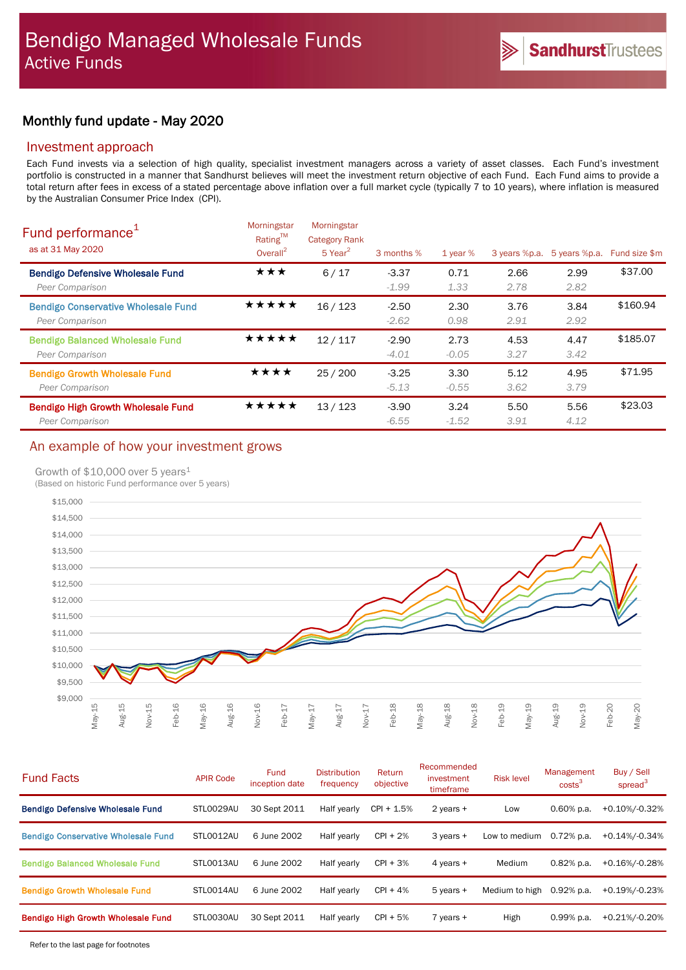# Monthly fund update - May 2020

## Investment approach

Each Fund invests via a selection of high quality, specialist investment managers across a variety of asset classes. Each Fund's investment portfolio is constructed in a manner that Sandhurst believes will meet the investment return objective of each Fund. Each Fund aims to provide a total return after fees in excess of a stated percentage above inflation over a full market cycle (typically 7 to 10 years), where inflation is measured by the Australian Consumer Price Index (CPI).

| Fund performance <sup>1</sup><br>as at 31 May 2020            | Morningstar<br>Rating™<br>Overall $^2$ | Morningstar<br><b>Category Rank</b><br>$5$ Year <sup>2</sup> | 3 months %         | $1$ year $%$    | 3 years %p.a. | 5 years %p.a. | Fund size \$m |
|---------------------------------------------------------------|----------------------------------------|--------------------------------------------------------------|--------------------|-----------------|---------------|---------------|---------------|
| <b>Bendigo Defensive Wholesale Fund</b><br>Peer Comparison    | ★★★                                    | 6/17                                                         | $-3.37$<br>$-1.99$ | 0.71<br>1.33    | 2.66<br>2.78  | 2.99<br>2.82  | \$37.00       |
| <b>Bendigo Conservative Wholesale Fund</b><br>Peer Comparison | *****                                  | 16/123                                                       | $-2.50$<br>$-2.62$ | 2.30<br>0.98    | 3.76<br>2.91  | 3.84<br>2.92  | \$160.94      |
| <b>Bendigo Balanced Wholesale Fund</b><br>Peer Comparison     | ★★★★★                                  | 12/117                                                       | $-2.90$<br>$-4.01$ | 2.73<br>$-0.05$ | 4.53<br>3.27  | 4.47<br>3.42  | \$185.07      |
| <b>Bendigo Growth Wholesale Fund</b><br>Peer Comparison       | ★★★★                                   | 25/200                                                       | $-3.25$<br>$-5.13$ | 3.30<br>$-0.55$ | 5.12<br>3.62  | 4.95<br>3.79  | \$71.95       |
| <b>Bendigo High Growth Wholesale Fund</b><br>Peer Comparison  | ★★★★★                                  | 13/123                                                       | $-3.90$<br>$-6.55$ | 3.24<br>$-1.52$ | 5.50<br>3.91  | 5.56<br>4.12  | \$23.03       |

## An example of how your investment grows

### Growth of  $$10,000$  over 5 years<sup>1</sup>

(Based on historic Fund performance over 5 years)



| <b>Fund Facts</b>                          | <b>APIR Code</b> | <b>Fund</b><br>inception date | <b>Distribution</b><br>frequency | Return<br>objective | Recommended<br>investment<br>timeframe | <b>Risk level</b> | Management<br>costs <sup>3</sup> | Buy / Sell<br>spread $3$ |
|--------------------------------------------|------------------|-------------------------------|----------------------------------|---------------------|----------------------------------------|-------------------|----------------------------------|--------------------------|
| <b>Bendigo Defensive Wholesale Fund</b>    | STL0029AU        | 30 Sept 2011                  | Half yearly                      | $CPI + 1.5%$        | 2 years +                              | Low               | $0.60\%$ p.a.                    | +0.10%/-0.32%            |
| <b>Bendigo Conservative Wholesale Fund</b> | STL0012AU        | 6 June 2002                   | Half yearly                      | $CPI + 2%$          | 3 years +                              | Low to medium     | $0.72\%$ p.a.                    | $+0.14\%/0.34\%$         |
| <b>Bendigo Balanced Wholesale Fund</b>     | STL0013AU        | 6 June 2002                   | Half yearly                      | $CPI + 3%$          | 4 years +                              | Medium            | $0.82%$ p.a.                     | +0.16%/-0.28%            |
| <b>Bendigo Growth Wholesale Fund</b>       | STL0014AU        | 6 June 2002                   | Half yearly                      | $CPI + 4%$          | $5$ vears $+$                          | Medium to high    | 0.92% p.a.                       | +0.19%/-0.23%            |
| <b>Bendigo High Growth Wholesale Fund</b>  | STL0030AU        | 30 Sept 2011                  | Half yearly                      | $CPI + 5%$          | $7$ years $+$                          | High              | $0.99%$ p.a.                     | +0.21%/-0.20%            |
|                                            |                  |                               |                                  |                     |                                        |                   |                                  |                          |

Refer to the last page for footnotes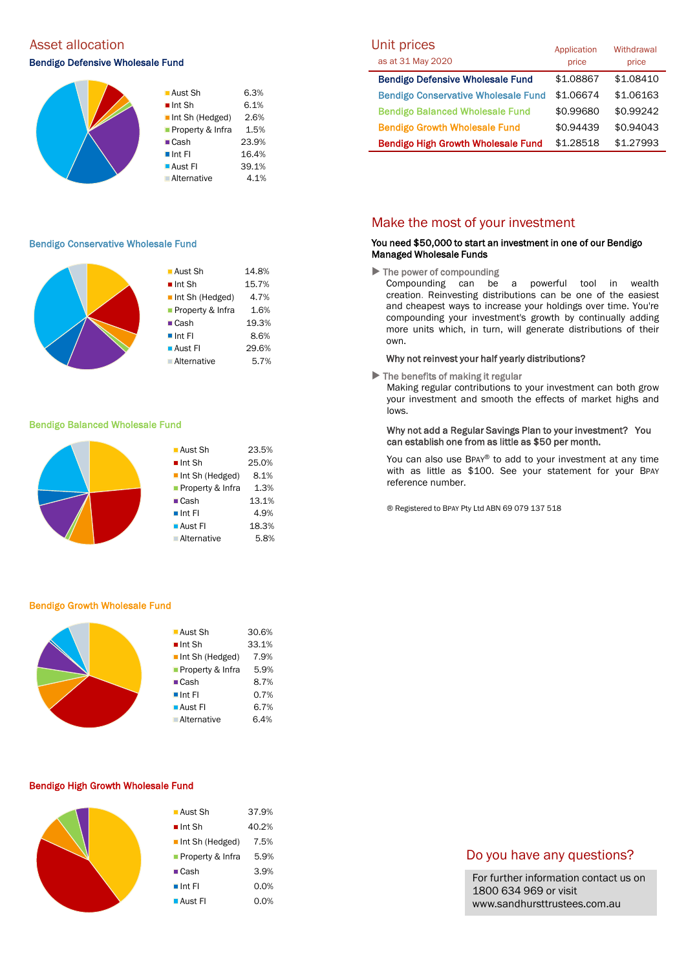# Asset allocation and the Unit prices of the Unit prices of the Unit prices of the Unit prices of the Unit pric

### Bendigo Defensive Wholesale Fund



1.6% 19.3% 8.6% 29.6%  $5.7%$ 

#### Bendigo Conservative Wholesale Fund

|  | ■ Aust Sh             | 14.8% |
|--|-----------------------|-------|
|  | $\blacksquare$ Int Sh | 15.7% |
|  | Int Sh (Hedged)       | 4.7%  |
|  | Property & Infra      | 1.6%  |
|  | $\blacksquare$ Cash   | 19.3% |
|  | $\blacksquare$ Int Fl | 8.6%  |
|  | ■ Aust Fl             | 29.6% |
|  | <b>Alternative</b>    | 5.7%  |
|  |                       |       |

#### Bendigo Balanced Wholesale Fund

| ■ Aust Sh                      | 23.5% |
|--------------------------------|-------|
| $\blacksquare$ Int Sh          | 25.0% |
| $\blacksquare$ Int Sh (Hedged) | 8.1%  |
| Property & Infra               | 1.3%  |
| $\blacksquare$ Cash            | 13.1% |
| $\blacksquare$ Int FI          | 4.9%  |
| ■ Aust Fl                      | 18.3% |
| <b>Alternative</b>             | 5.8%  |
|                                |       |

#### Bendigo Growth Wholesale Fund

|  | ■ Aust Sh                      | 30.6% |
|--|--------------------------------|-------|
|  | $\blacksquare$ Int Sh          | 33.1% |
|  | $\blacksquare$ Int Sh (Hedged) | 7.9%  |
|  | <b>Property &amp; Infra</b>    | 5.9%  |
|  | $\blacksquare$ Cash            | 8.7%  |
|  | $\blacksquare$ Int Fl          | 0.7%  |
|  | $\blacksquare$ Aust FI         | 6.7%  |
|  | <b>Alternative</b>             | 6.4%  |
|  |                                |       |

#### Bendigo High Growth Wholesale Fund

| ■ Aust Sh                      | 37.9% |
|--------------------------------|-------|
| $\blacksquare$ Int Sh          | 40.2% |
| $\blacksquare$ Int Sh (Hedged) | 7.5%  |
| Property & Infra               | 5.9%  |
| $\blacksquare$ Cash            | 3.9%  |
| $\blacksquare$ Int FI          | 0.0%  |
| <b>Aust Fl</b>                 | 0.0%  |

| UNIT prices<br>as at 31 May 2020           | Application<br>price | Withdrawal<br>price |
|--------------------------------------------|----------------------|---------------------|
| <b>Bendigo Defensive Wholesale Fund</b>    | \$1.08867            | \$1.08410           |
| <b>Bendigo Conservative Wholesale Fund</b> | \$1.06674            | \$1,06163           |
| <b>Bendigo Balanced Wholesale Fund</b>     | \$0.99680            | \$0.99242           |
| <b>Bendigo Growth Wholesale Fund</b>       | \$0.94439            | \$0.94043           |
| <b>Bendigo High Growth Wholesale Fund</b>  | \$1,28518            | \$1.27993           |

## Make the most of your investment

#### You need \$50,000 to start an investment in one of our Bendigo Managed Wholesale Funds

 $\blacktriangleright$  The power of compounding

Compounding can be a powerful tool in wealth creation. Reinvesting distributions can be one of the easiest and cheapest ways to increase your holdings over time. You're compounding your investment's growth by continually adding more units which, in turn, will generate distributions of their own.

#### Why not reinvest your half yearly distributions?

 $\blacktriangleright$  The benefits of making it regular

Making regular contributions to your investment can both grow your investment and smooth the effects of market highs and lows.

#### Why not add a Regular Savings Plan to your investment? You can establish one from as little as \$50 per month.

You can also use BPAY® to add to your investment at any time with as little as \$100. See your statement for your BPAY reference number.

® Registered to BPAY Pty Ltd ABN 69 079 137 518

## Do you have any questions?

For further information contact us on 1800 634 969 or visit www.sandhursttrustees.com.au